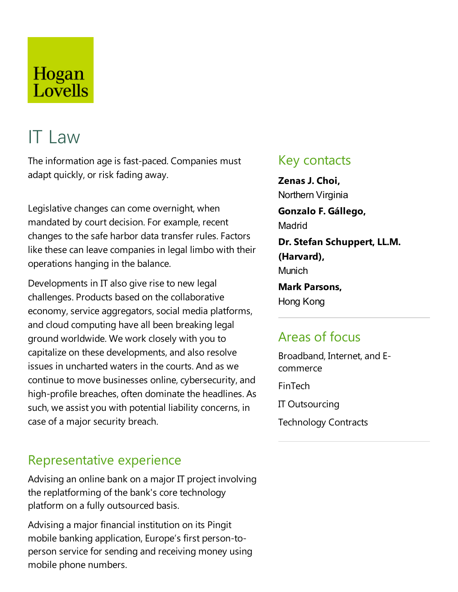## Hogan Lovells

# IT Law

The information age is fast-paced. Companies must adapt quickly, or risk fading away.

Legislative changes can come overnight, when mandated by court decision. For example, recent changes to the safe harbor data transfer rules. Factors like these can leave companies in legal limbo with their operations hanging in the balance.

Developments in IT also give rise to new legal challenges. Products based on the collaborative economy, service aggregators, social media platforms, and cloud computing have all been breaking legal ground worldwide. We work closely with you to capitalize on these developments, and also resolve issues in uncharted waters in the courts. And as we continue to move businesses online, cybersecurity, and high-profile breaches, often dominate the headlines. As such, we assist you with potential liability concerns, in case of a major security breach.

## Representative experience

Advising an online bank on a major IT project involving the replatforming of the bank's core technology platform on a fully outsourced basis.

Advising a major financial institution on its Pingit mobile banking application, Europe's first person-toperson service for sending and receiving money using mobile phone numbers.

## Key contacts

**Zenas J. Choi,** Northern Virginia **Gonzalo F. Gállego,** Madrid **Dr.** Stefan Schuppert, LL.M. **(Harvard), Munich Mark Parsons,** Hong Kong

## Areas of focus

Broadband, Internet, and Ecommerce

FinTech

IT Outsourcing

Technology Contracts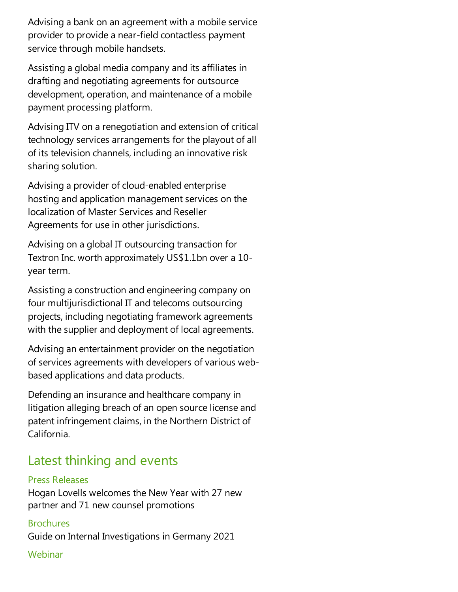Advising a bank on an agreement with a mobile service provider to provide a near-field contactless payment service through mobile handsets.

Assisting a global mediacompany and its affiliates in drafting and negotiating agreements for outsource development, operation, and maintenance of a mobile payment processing platform.

Advising ITV on a renegotiation and extension of critical technology services arrangements for the playout of all of its television channels, including an innovative risk sharing solution.

Advising a provider of cloud-enabled enterprise hosting and application management services on the localization of Master Services and Reseller Agreements for use in other jurisdictions.

Advising on a global IT outsourcing transaction for Textron Inc. worth approximately US\$1.1bn over a 10 year term.

Assisting a construction and engineering company on four multijurisdictional IT and telecoms outsourcing projects, including negotiating framework agreements with the supplier and deployment of local agreements.

Advising an entertainment provider on the negotiation of services agreements with developers of various webbased applications and data products.

Defending an insurance and healthcare company in litigation alleging breach of an open source license and patent infringement claims, in the Northern District of California.

## Latest thinking and events

#### Press Releases

Hogan Lovells welcomes the New Year with 27 new partner and 71 new counsel promotions

#### **Brochures**

Guide on Internal Investigations in Germany 2021

#### Webinar